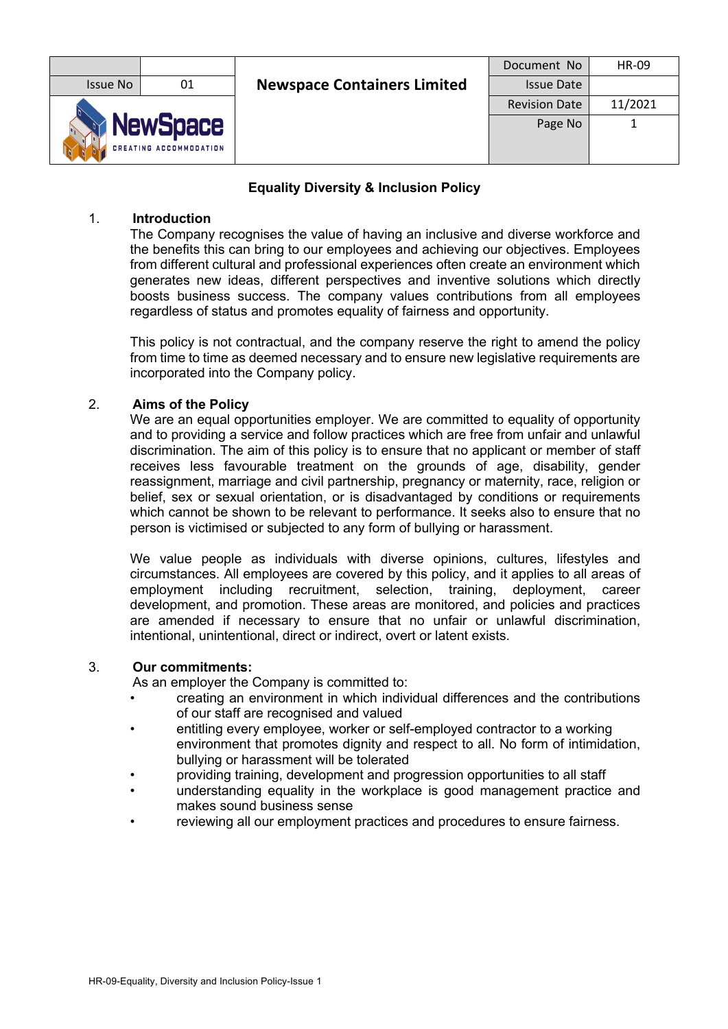|                                                  |    |                                    | Document No          | <b>HR-09</b> |
|--------------------------------------------------|----|------------------------------------|----------------------|--------------|
| Issue No                                         | 01 | <b>Newspace Containers Limited</b> | <b>Issue Date</b>    |              |
|                                                  |    |                                    | <b>Revision Date</b> | 11/2021      |
| <b>NewSpace</b><br><b>CREATING ACCOMMODATION</b> |    |                                    | Page No              |              |

# **Equality Diversity & Inclusion Policy**

## 1. **Introduction**

The Company recognises the value of having an inclusive and diverse workforce and the benefits this can bring to our employees and achieving our objectives. Employees from different cultural and professional experiences often create an environment which generates new ideas, different perspectives and inventive solutions which directly boosts business success. The company values contributions from all employees regardless of status and promotes equality of fairness and opportunity.

This policy is not contractual, and the company reserve the right to amend the policy from time to time as deemed necessary and to ensure new legislative requirements are incorporated into the Company policy.

## 2. **Aims of the Policy**

We are an equal opportunities employer. We are committed to equality of opportunity and to providing a service and follow practices which are free from unfair and unlawful discrimination. The aim of this policy is to ensure that no applicant or member of staff receives less favourable treatment on the grounds of age, disability, gender reassignment, marriage and civil partnership, pregnancy or maternity, race, religion or belief, sex or sexual orientation, or is disadvantaged by conditions or requirements which cannot be shown to be relevant to performance. It seeks also to ensure that no person is victimised or subjected to any form of bullying or harassment.

We value people as individuals with diverse opinions, cultures, lifestyles and circumstances. All employees are covered by this policy, and it applies to all areas of employment including recruitment, selection, training, deployment, career development, and promotion. These areas are monitored, and policies and practices are amended if necessary to ensure that no unfair or unlawful discrimination, intentional, unintentional, direct or indirect, overt or latent exists.

## 3. **Our commitments:**

As an employer the Company is committed to:

- creating an environment in which individual differences and the contributions of our staff are recognised and valued
- entitling every employee, worker or self-employed contractor to a working environment that promotes dignity and respect to all. No form of intimidation, bullying or harassment will be tolerated
- providing training, development and progression opportunities to all staff
- understanding equality in the workplace is good management practice and makes sound business sense
- reviewing all our employment practices and procedures to ensure fairness.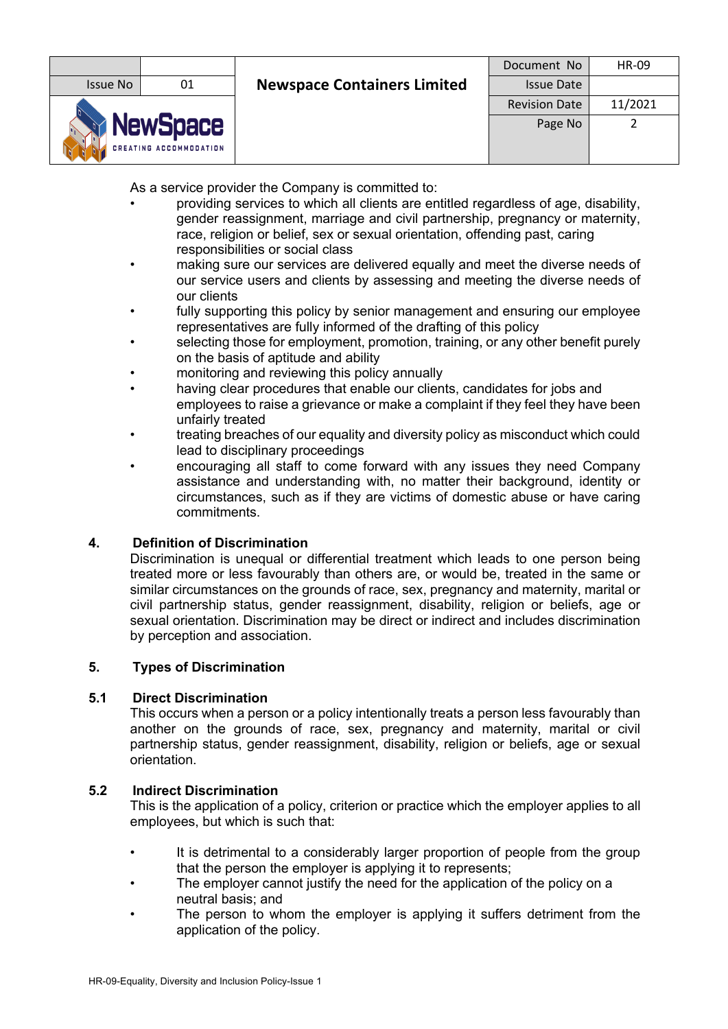|                                                  |    |                                    | Document No          | <b>HR-09</b> |
|--------------------------------------------------|----|------------------------------------|----------------------|--------------|
| Issue No                                         | 01 | <b>Newspace Containers Limited</b> | <b>Issue Date</b>    |              |
|                                                  |    |                                    | <b>Revision Date</b> | 11/2021      |
| <b>NewSpace</b><br><b>CREATING ACCOMMODATION</b> |    |                                    | Page No              |              |

As a service provider the Company is committed to:

- providing services to which all clients are entitled regardless of age, disability, gender reassignment, marriage and civil partnership, pregnancy or maternity, race, religion or belief, sex or sexual orientation, offending past, caring responsibilities or social class
- making sure our services are delivered equally and meet the diverse needs of our service users and clients by assessing and meeting the diverse needs of our clients
- fully supporting this policy by senior management and ensuring our employee representatives are fully informed of the drafting of this policy
- selecting those for employment, promotion, training, or any other benefit purely on the basis of aptitude and ability
- monitoring and reviewing this policy annually
- having clear procedures that enable our clients, candidates for jobs and employees to raise a grievance or make a complaint if they feel they have been unfairly treated
- treating breaches of our equality and diversity policy as misconduct which could lead to disciplinary proceedings
- encouraging all staff to come forward with any issues they need Company assistance and understanding with, no matter their background, identity or circumstances, such as if they are victims of domestic abuse or have caring commitments.

# **4. Definition of Discrimination**

Discrimination is unequal or differential treatment which leads to one person being treated more or less favourably than others are, or would be, treated in the same or similar circumstances on the grounds of race, sex, pregnancy and maternity, marital or civil partnership status, gender reassignment, disability, religion or beliefs, age or sexual orientation. Discrimination may be direct or indirect and includes discrimination by perception and association.

## **5. Types of Discrimination**

## **5.1 Direct Discrimination**

This occurs when a person or a policy intentionally treats a person less favourably than another on the grounds of race, sex, pregnancy and maternity, marital or civil partnership status, gender reassignment, disability, religion or beliefs, age or sexual orientation.

## **5.2 Indirect Discrimination**

This is the application of a policy, criterion or practice which the employer applies to all employees, but which is such that:

- It is detrimental to a considerably larger proportion of people from the group that the person the employer is applying it to represents;
- The employer cannot justify the need for the application of the policy on a neutral basis; and
- The person to whom the employer is applying it suffers detriment from the application of the policy.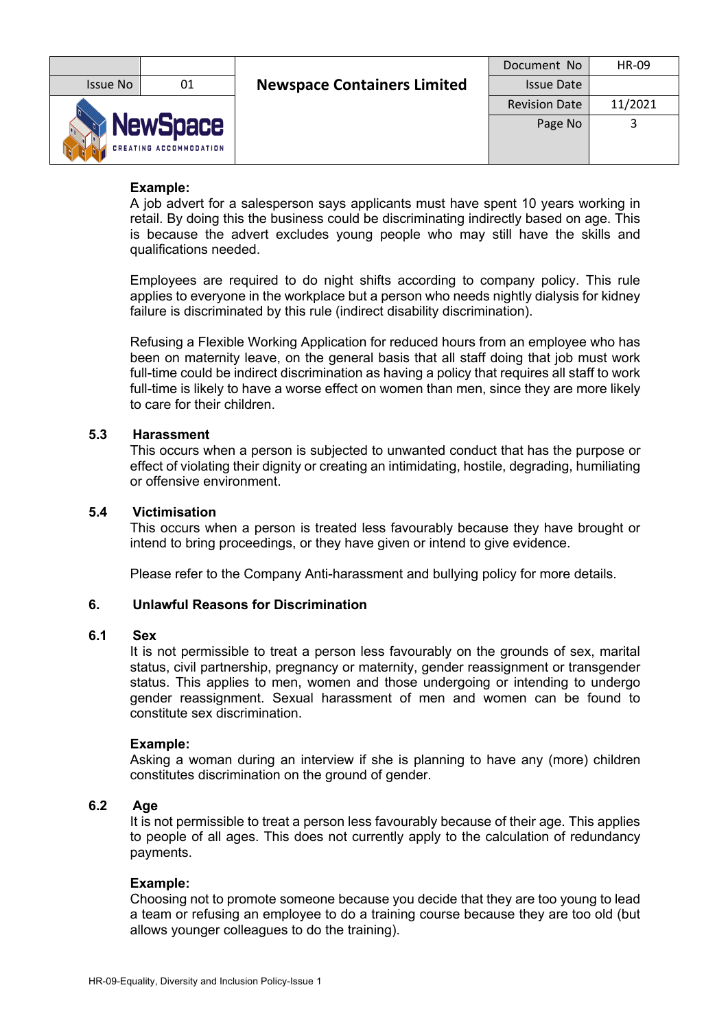|                                                  |    |                                    | Document No          | <b>HR-09</b> |
|--------------------------------------------------|----|------------------------------------|----------------------|--------------|
| <b>Issue No</b>                                  | 01 | <b>Newspace Containers Limited</b> | <b>Issue Date</b>    |              |
|                                                  |    |                                    | <b>Revision Date</b> | 11/2021      |
| <b>NewSpace</b><br><b>CREATING ACCOMMODATION</b> |    |                                    | Page No              |              |

## **Example:**

A job advert for a salesperson says applicants must have spent 10 years working in retail. By doing this the business could be discriminating indirectly based on age. This is because the advert excludes young people who may still have the skills and qualifications needed.

Employees are required to do night shifts according to company policy. This rule applies to everyone in the workplace but a person who needs nightly dialysis for kidney failure is discriminated by this rule (indirect disability discrimination).

Refusing a Flexible Working Application for reduced hours from an employee who has been on maternity leave, on the general basis that all staff doing that job must work full-time could be indirect discrimination as having a policy that requires all staff to work full-time is likely to have a worse effect on women than men, since they are more likely to care for their children.

## **5.3 Harassment**

This occurs when a person is subjected to unwanted conduct that has the purpose or effect of violating their dignity or creating an intimidating, hostile, degrading, humiliating or offensive environment.

## **5.4 Victimisation**

This occurs when a person is treated less favourably because they have brought or intend to bring proceedings, or they have given or intend to give evidence.

Please refer to the Company Anti-harassment and bullying policy for more details.

## **6. Unlawful Reasons for Discrimination**

## **6.1 Sex**

It is not permissible to treat a person less favourably on the grounds of sex, marital status, civil partnership, pregnancy or maternity, gender reassignment or transgender status. This applies to men, women and those undergoing or intending to undergo gender reassignment. Sexual harassment of men and women can be found to constitute sex discrimination.

#### **Example:**

Asking a woman during an interview if she is planning to have any (more) children constitutes discrimination on the ground of gender.

#### **6.2 Age**

It is not permissible to treat a person less favourably because of their age. This applies to people of all ages. This does not currently apply to the calculation of redundancy payments.

#### **Example:**

Choosing not to promote someone because you decide that they are too young to lead a team or refusing an employee to do a training course because they are too old (but allows younger colleagues to do the training).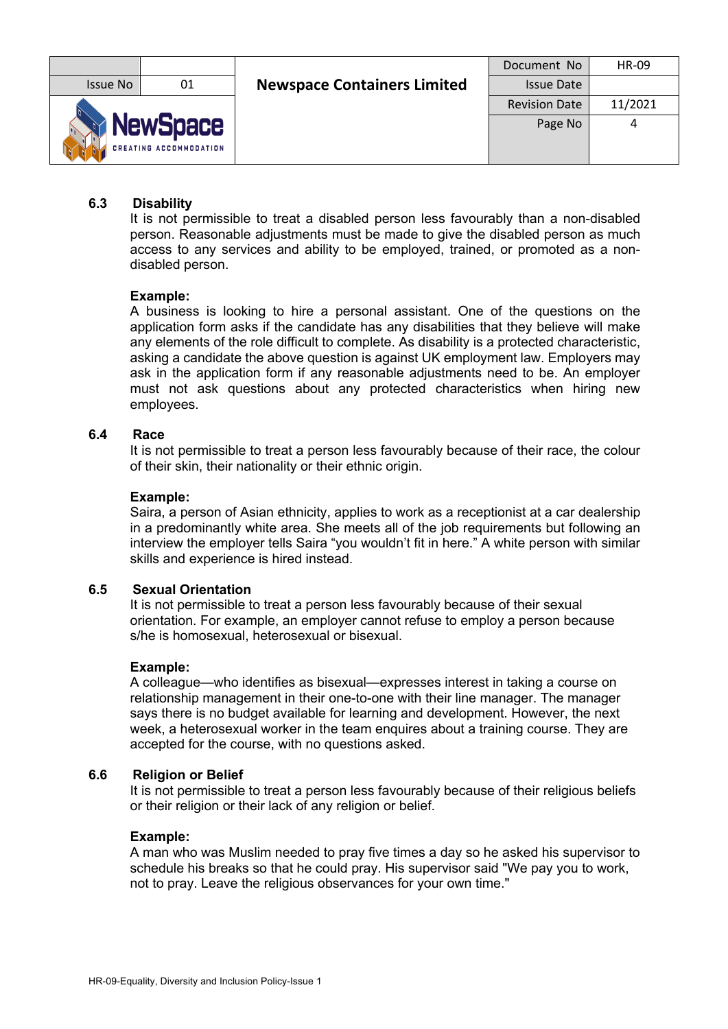|                                                  |    |                                    | Document No          | HR-09   |
|--------------------------------------------------|----|------------------------------------|----------------------|---------|
| <b>Issue No</b>                                  | 01 | <b>Newspace Containers Limited</b> | <b>Issue Date</b>    |         |
|                                                  |    |                                    | <b>Revision Date</b> | 11/2021 |
| <b>NewSpace</b><br><b>CREATING ACCOMMODATION</b> |    |                                    | Page No              |         |

## **6.3 Disability**

It is not permissible to treat a disabled person less favourably than a non-disabled person. Reasonable adjustments must be made to give the disabled person as much access to any services and ability to be employed, trained, or promoted as a nondisabled person.

#### **Example:**

A business is looking to hire a personal assistant. One of the questions on the application form asks if the candidate has any disabilities that they believe will make any elements of the role difficult to complete. As disability is a protected characteristic, asking a candidate the above question is against UK employment law. Employers may ask in the application form if any reasonable adjustments need to be. An employer must not ask questions about any protected characteristics when hiring new employees.

## **6.4 Race**

It is not permissible to treat a person less favourably because of their race, the colour of their skin, their nationality or their ethnic origin.

#### **Example:**

Saira, a person of Asian ethnicity, applies to work as a receptionist at a car dealership in a predominantly white area. She meets all of the job requirements but following an interview the employer tells Saira "you wouldn't fit in here." A white person with similar skills and experience is hired instead.

#### **6.5 Sexual Orientation**

It is not permissible to treat a person less favourably because of their sexual orientation. For example, an employer cannot refuse to employ a person because s/he is homosexual, heterosexual or bisexual.

#### **Example:**

A colleague—who identifies as bisexual—expresses interest in taking a course on relationship management in their one-to-one with their line manager. The manager says there is no budget available for learning and development. However, the next week, a heterosexual worker in the team enquires about a training course. They are accepted for the course, with no questions asked.

#### **6.6 Religion or Belief**

It is not permissible to treat a person less favourably because of their religious beliefs or their religion or their lack of any religion or belief.

#### **Example:**

A man who was Muslim needed to pray five times a day so he asked his supervisor to schedule his breaks so that he could pray. His supervisor said "We pay you to work, not to pray. Leave the religious observances for your own time."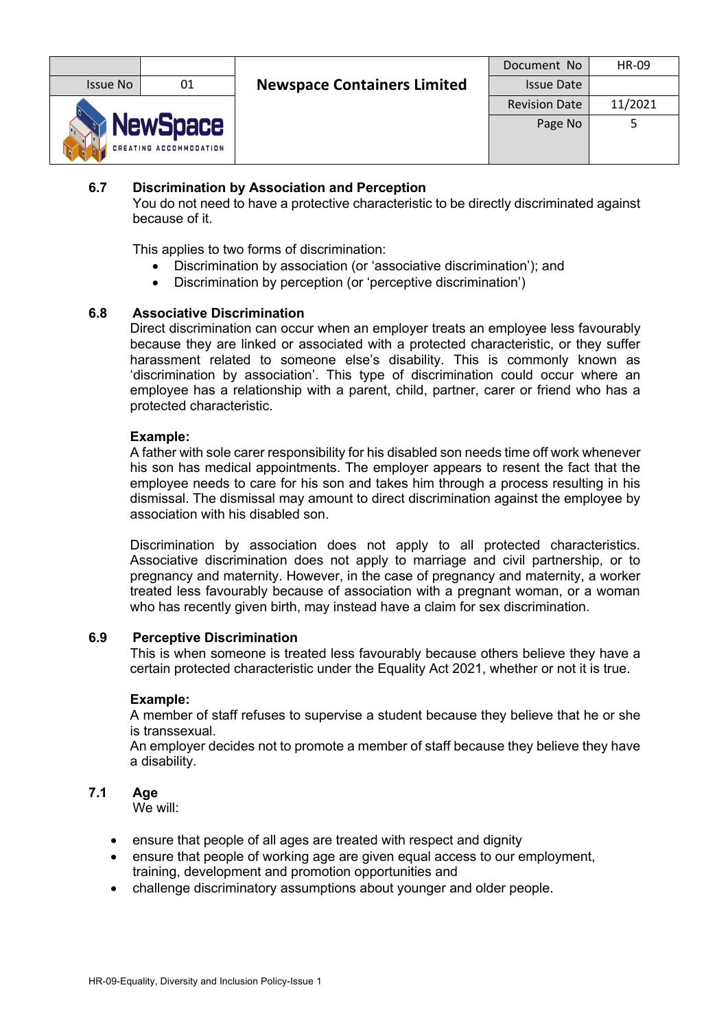|                                                  |    |                                    | Document No          | <b>HR-09</b> |
|--------------------------------------------------|----|------------------------------------|----------------------|--------------|
| Issue No                                         | 01 | <b>Newspace Containers Limited</b> | <b>Issue Date</b>    |              |
|                                                  |    |                                    | <b>Revision Date</b> | 11/2021      |
| <b>NewSpace</b><br><b>CREATING ACCOMMODATION</b> |    |                                    | Page No              |              |

# **6.7 Discrimination by Association and Perception**

You do not need to have a protective characteristic to be directly discriminated against because of it.

This applies to two forms of discrimination:

- Discrimination by association (or 'associative discrimination'); and
- Discrimination by perception (or 'perceptive discrimination')

## **6.8 Associative Discrimination**

Direct discrimination can occur when an employer treats an employee less favourably because they are linked or associated with a protected characteristic, or they suffer harassment related to someone else's disability. This is commonly known as 'discrimination by association'. This type of discrimination could occur where an employee has a relationship with a parent, child, partner, carer or friend who has a protected characteristic.

## **Example:**

A father with sole carer responsibility for his disabled son needs time off work whenever his son has medical appointments. The employer appears to resent the fact that the employee needs to care for his son and takes him through a process resulting in his dismissal. The dismissal may amount to direct discrimination against the employee by association with his disabled son.

Discrimination by association does not apply to all protected characteristics. Associative discrimination does not apply to marriage and civil partnership, or to pregnancy and maternity. However, in the case of pregnancy and maternity, a worker treated less favourably because of association with a pregnant woman, or a woman who has recently given birth, may instead have a claim for sex discrimination.

#### **6.9 Perceptive Discrimination**

This is when someone is treated less favourably because others believe they have a certain protected characteristic under the Equality Act 2021, whether or not it is true.

#### **Example:**

A member of staff refuses to supervise a student because they believe that he or she is transsexual.

An employer decides not to promote a member of staff because they believe they have a disability.

#### **7.1 Age**

We will:

- ensure that people of all ages are treated with respect and dignity
- ensure that people of working age are given equal access to our employment, training, development and promotion opportunities and
- challenge discriminatory assumptions about younger and older people.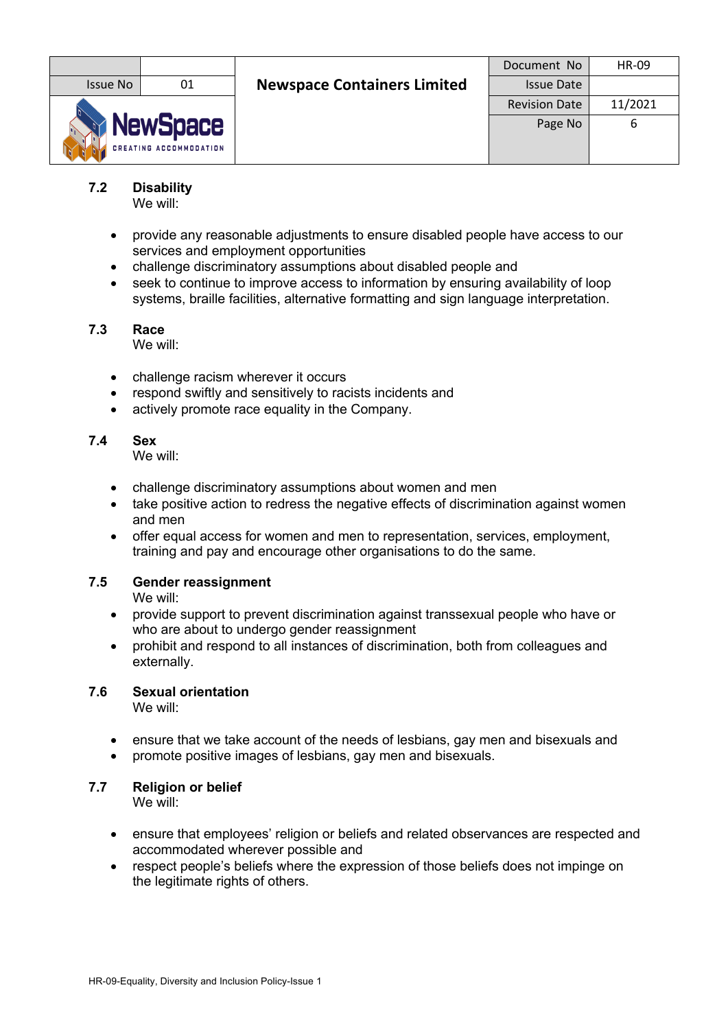|                                                  |    |                                    | Document No          | HR-09   |
|--------------------------------------------------|----|------------------------------------|----------------------|---------|
| <b>Issue No</b>                                  | 01 | <b>Newspace Containers Limited</b> | <b>Issue Date</b>    |         |
|                                                  |    |                                    | <b>Revision Date</b> | 11/2021 |
| <b>NewSpace</b><br><b>CREATING ACCOMMODATION</b> |    |                                    | Page No              | b       |

**7.2 Disability**

We will:

- provide any reasonable adjustments to ensure disabled people have access to our services and employment opportunities
- challenge discriminatory assumptions about disabled people and
- seek to continue to improve access to information by ensuring availability of loop systems, braille facilities, alternative formatting and sign language interpretation.

# **7.3 Race**

We will:

- challenge racism wherever it occurs
- respond swiftly and sensitively to racists incidents and
- actively promote race equality in the Company.

## **7.4 Sex**

We will:

- challenge discriminatory assumptions about women and men
- take positive action to redress the negative effects of discrimination against women and men
- offer equal access for women and men to representation, services, employment, training and pay and encourage other organisations to do the same.

# **7.5 Gender reassignment**

We will:

- provide support to prevent discrimination against transsexual people who have or who are about to undergo gender reassignment
- prohibit and respond to all instances of discrimination, both from colleagues and externally.

# **7.6 Sexual orientation**

We will:

- ensure that we take account of the needs of lesbians, gay men and bisexuals and
- promote positive images of lesbians, gay men and bisexuals.

# **7.7 Religion or belief**

We will:

- ensure that employees' religion or beliefs and related observances are respected and accommodated wherever possible and
- respect people's beliefs where the expression of those beliefs does not impinge on the legitimate rights of others.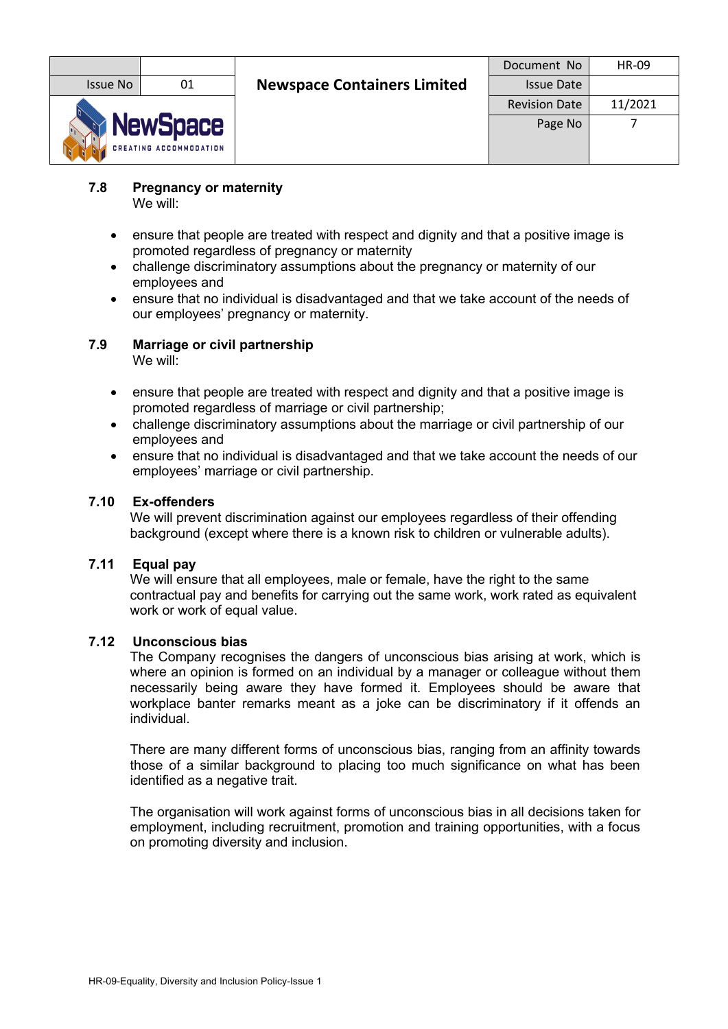|                                                  |    |                                    | Document No          | <b>HR-09</b> |
|--------------------------------------------------|----|------------------------------------|----------------------|--------------|
| Issue No                                         | 01 | <b>Newspace Containers Limited</b> | <b>Issue Date</b>    |              |
|                                                  |    |                                    | <b>Revision Date</b> | 11/2021      |
| <b>NewSpace</b><br><b>CREATING ACCOMMODATION</b> |    |                                    | Page No              |              |

#### **7.8 Pregnancy or maternity** We will:

- ensure that people are treated with respect and dignity and that a positive image is promoted regardless of pregnancy or maternity
- challenge discriminatory assumptions about the pregnancy or maternity of our employees and
- ensure that no individual is disadvantaged and that we take account of the needs of our employees' pregnancy or maternity.

# **7.9 Marriage or civil partnership**

We will:

- ensure that people are treated with respect and dignity and that a positive image is promoted regardless of marriage or civil partnership;
- challenge discriminatory assumptions about the marriage or civil partnership of our employees and
- ensure that no individual is disadvantaged and that we take account the needs of our employees' marriage or civil partnership.

# **7.10 Ex-offenders**

We will prevent discrimination against our employees regardless of their offending background (except where there is a known risk to children or vulnerable adults).

## **7.11 Equal pay**

We will ensure that all employees, male or female, have the right to the same contractual pay and benefits for carrying out the same work, work rated as equivalent work or work of equal value.

## **7.12 Unconscious bias**

The Company recognises the dangers of unconscious bias arising at work, which is where an opinion is formed on an individual by a manager or colleague without them necessarily being aware they have formed it. Employees should be aware that workplace banter remarks meant as a joke can be discriminatory if it offends an individual.

There are many different forms of unconscious bias, ranging from an affinity towards those of a similar background to placing too much significance on what has been identified as a negative trait.

The organisation will work against forms of unconscious bias in all decisions taken for employment, including recruitment, promotion and training opportunities, with a focus on promoting diversity and inclusion.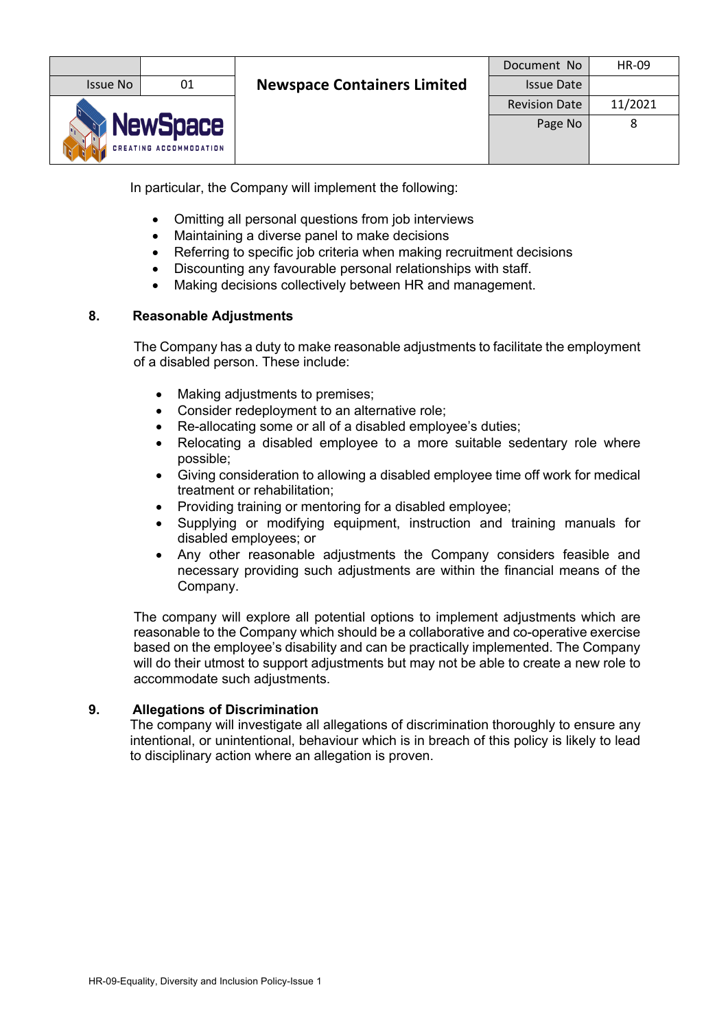|                                                  |    |                                    | Document No          | HR-09   |
|--------------------------------------------------|----|------------------------------------|----------------------|---------|
| Issue No                                         | 01 | <b>Newspace Containers Limited</b> | <b>Issue Date</b>    |         |
|                                                  |    |                                    | <b>Revision Date</b> | 11/2021 |
| <b>NewSpace</b><br><b>CREATING ACCOMMODATION</b> |    |                                    | Page No              |         |

In particular, the Company will implement the following:

- Omitting all personal questions from job interviews
- Maintaining a diverse panel to make decisions
- Referring to specific job criteria when making recruitment decisions
- Discounting any favourable personal relationships with staff.
- Making decisions collectively between HR and management.

## **8. Reasonable Adjustments**

The Company has a duty to make reasonable adjustments to facilitate the employment of a disabled person. These include:

- Making adjustments to premises;
- Consider redeployment to an alternative role;
- Re-allocating some or all of a disabled employee's duties;
- Relocating a disabled employee to a more suitable sedentary role where possible;
- Giving consideration to allowing a disabled employee time off work for medical treatment or rehabilitation;
- Providing training or mentoring for a disabled employee;
- Supplying or modifying equipment, instruction and training manuals for disabled employees; or
- Any other reasonable adjustments the Company considers feasible and necessary providing such adjustments are within the financial means of the Company.

The company will explore all potential options to implement adjustments which are reasonable to the Company which should be a collaborative and co-operative exercise based on the employee's disability and can be practically implemented. The Company will do their utmost to support adjustments but may not be able to create a new role to accommodate such adjustments.

## **9. Allegations of Discrimination**

The company will investigate all allegations of discrimination thoroughly to ensure any intentional, or unintentional, behaviour which is in breach of this policy is likely to lead to disciplinary action where an allegation is proven.